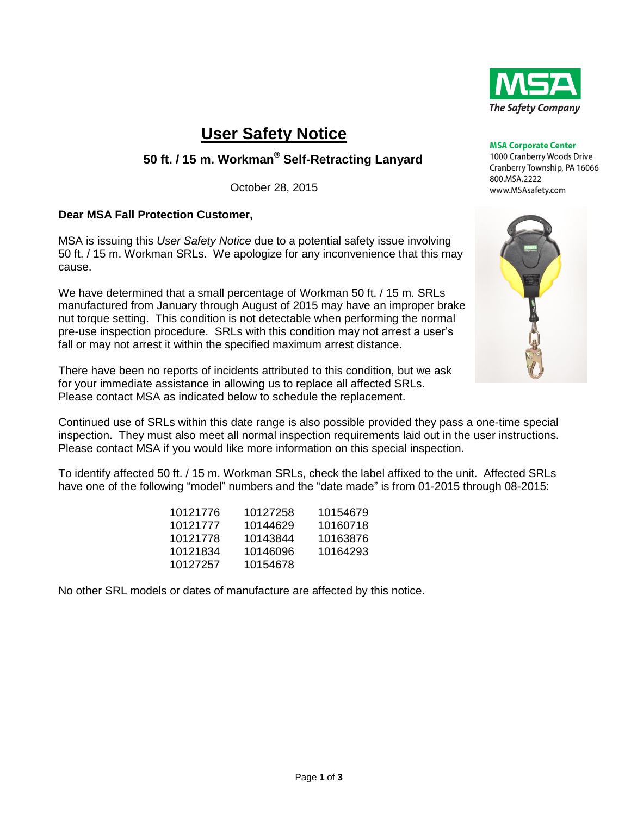

# **User Safety Notice**

## **50 ft. / 15 m. Workman® Self-Retracting Lanyard**

October 28, 2015

### **Dear MSA Fall Protection Customer,**

MSA is issuing this *User Safety Notice* due to a potential safety issue involving 50 ft. / 15 m. Workman SRLs. We apologize for any inconvenience that this may cause.

We have determined that a small percentage of Workman 50 ft. / 15 m. SRLs manufactured from January through August of 2015 may have an improper brake nut torque setting. This condition is not detectable when performing the normal pre-use inspection procedure. SRLs with this condition may not arrest a user's fall or may not arrest it within the specified maximum arrest distance.

There have been no reports of incidents attributed to this condition, but we ask for your immediate assistance in allowing us to replace all affected SRLs. Please contact MSA as indicated below to schedule the replacement.

Continued use of SRLs within this date range is also possible provided they pass a one-time special inspection. They must also meet all normal inspection requirements laid out in the user instructions. Please contact MSA if you would like more information on this special inspection.

To identify affected 50 ft. / 15 m. Workman SRLs, check the label affixed to the unit. Affected SRLs have one of the following "model" numbers and the "date made" is from 01-2015 through 08-2015:

| 10121776 | 10127258 | 10154679 |
|----------|----------|----------|
| 10121777 | 10144629 | 10160718 |
| 10121778 | 10143844 | 10163876 |
| 10121834 | 10146096 | 10164293 |
| 10127257 | 10154678 |          |

No other SRL models or dates of manufacture are affected by this notice.



1000 Cranberry Woods Drive Cranberry Township, PA 16066 800.MSA.2222 www.MSAsafety.com

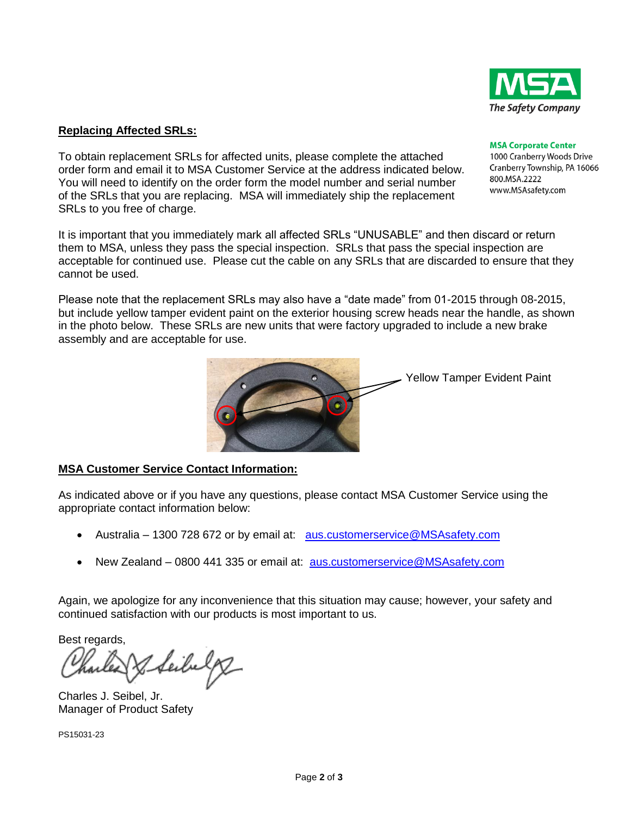

1000 Cranberry Woods Drive Cranberry Township, PA 16066 800.MSA.2222

#### **Replacing Affected SRLs:**

To obtain replacement SRLs for affected units, please complete the attached order form and email it to MSA Customer Service at the address indicated below. You will need to identify on the order form the model number and serial number of the SRLs that you are replacing. MSA will immediately ship the replacement SRLs to you free of charge.

It is important that you immediately mark all affected SRLs "UNUSABLE" and then discard or return them to MSA, unless they pass the special inspection. SRLs that pass the special inspection are acceptable for continued use. Please cut the cable on any SRLs that are discarded to ensure that they cannot be used.

Please note that the replacement SRLs may also have a "date made" from 01-2015 through 08-2015, but include yellow tamper evident paint on the exterior housing screw heads near the handle, as shown in the photo below. These SRLs are new units that were factory upgraded to include a new brake assembly and are acceptable for use.

#### **MSA Customer Service Contact Information:**

As indicated above or if you have any questions, please contact MSA Customer Service using the appropriate contact information below:

- Australia 1300 728 672 or by email at: [aus.customerservice@MSAsafety.com](mailto:aus.customerservice@MSAsafety.com)
- New Zealand 0800 441 335 or email at: [aus.customerservice@MSAsafety.com](mailto:aus.customerservice@MSAsafety.com)

Again, we apologize for any inconvenience that this situation may cause; however, your safety and continued satisfaction with our products is most important to us.

Best regards,

Seibelg

Charles J. Seibel, Jr. Manager of Product Safety

PS15031-23





#### **MSA Corporate Center**

www.MSAsafety.com